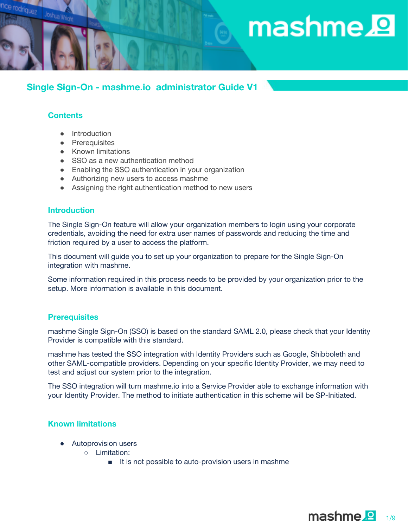# $\mathop{\mathsf{mashme}}\nolimits{\mathbf{P}}$

# **Single Sign-On - mashme.io administrator Guide V1**

## **Contents**

Joshua Wright

odriquez

- Introduction
- Prerequisites
- Known limitations
- SSO as a new authentication method
- Enabling the SSO authentication in your organization
- Authorizing new users to access mashme
- Assigning the right authentication method to new users

## **Introduction**

The Single Sign-On feature will allow your organization members to login using your corporate credentials, avoiding the need for extra user names of passwords and reducing the time and friction required by a user to access the platform.

This document will guide you to set up your organization to prepare for the Single Sign-On integration with mashme.

Some information required in this process needs to be provided by your organization prior to the setup. More information is available in this document.

#### **Prerequisites**

mashme Single Sign-On (SSO) is based on the standard SAML 2.0, please check that your Identity Provider is compatible with this standard.

mashme has tested the SSO integration with Identity Providers such as Google, Shibboleth and other SAML-compatible providers. Depending on your specific Identity Provider, we may need to test and adjust our system prior to the integration.

The SSO integration will turn mashme.io into a Service Provider able to exchange information with your Identity Provider. The method to initiate authentication in this scheme will be SP-Initiated.

## **Known limitations**

- Autoprovision users
	- Limitation:
		- It is not possible to auto-provision users in mashme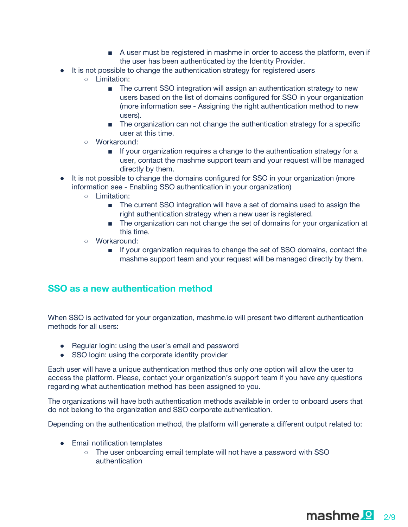- A user must be registered in mashme in order to access the platform, even if the user has been authenticated by the Identity Provider.
- It is not possible to change the authentication strategy for registered users
	- Limitation:
		- The current SSO integration will assign an authentication strategy to new users based on the list of domains configured for SSO in your organization (more information see - Assigning the right authentication method to new users).
		- The organization can not change the authentication strategy for a specific user at this time.
	- Workaround:
		- If your organization requires a change to the authentication strategy for a user, contact the mashme support team and your request will be managed directly by them.
- It is not possible to change the domains configured for SSO in your organization (more information see - Enabling SSO authentication in your organization)
	- Limitation:
		- The current SSO integration will have a set of domains used to assign the right authentication strategy when a new user is registered.
		- The organization can not change the set of domains for your organization at this time.
	- Workaround:
		- If your organization requires to change the set of SSO domains, contact the mashme support team and your request will be managed directly by them.

# **SSO as a new authentication method**

When SSO is activated for your organization, mashme.io will present two different authentication methods for all users:

- Regular login: using the user's email and password
- SSO login: using the corporate identity provider

Each user will have a unique authentication method thus only one option will allow the user to access the platform. Please, contact your organization's support team if you have any questions regarding what authentication method has been assigned to you.

The organizations will have both authentication methods available in order to onboard users that do not belong to the organization and SSO corporate authentication.

Depending on the authentication method, the platform will generate a different output related to:

- Email notification templates
	- The user onboarding email template will not have a password with SSO authentication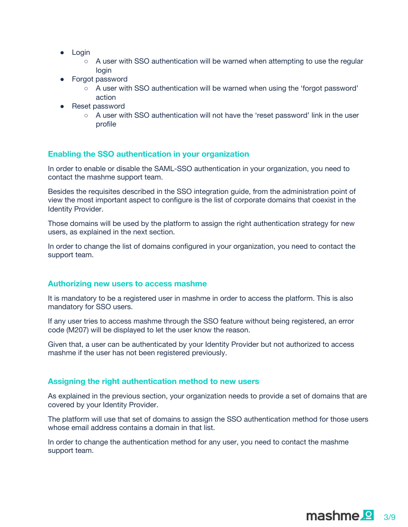- Login
	- $\circ$  A user with SSO authentication will be warned when attempting to use the regular login
- Forgot password
	- A user with SSO authentication will be warned when using the 'forgot password' action
- Reset password
	- $\circ$  A user with SSO authentication will not have the 'reset password' link in the user profile

## **Enabling the SSO authentication in your organization**

In order to enable or disable the SAML-SSO authentication in your organization, you need to contact the mashme support team.

Besides the requisites described in the SSO integration guide, from the administration point of view the most important aspect to configure is the list of corporate domains that coexist in the Identity Provider.

Those domains will be used by the platform to assign the right authentication strategy for new users, as explained in the next section.

In order to change the list of domains configured in your organization, you need to contact the support team.

#### **Authorizing new users to access mashme**

It is mandatory to be a registered user in mashme in order to access the platform. This is also mandatory for SSO users.

If any user tries to access mashme through the SSO feature without being registered, an error code (M207) will be displayed to let the user know the reason.

Given that, a user can be authenticated by your Identity Provider but not authorized to access mashme if the user has not been registered previously.

## **Assigning the right authentication method to new users**

As explained in the previous section, your organization needs to provide a set of domains that are covered by your Identity Provider.

The platform will use that set of domains to assign the SSO authentication method for those users whose email address contains a domain in that list.

In order to change the authentication method for any user, you need to contact the mashme support team.